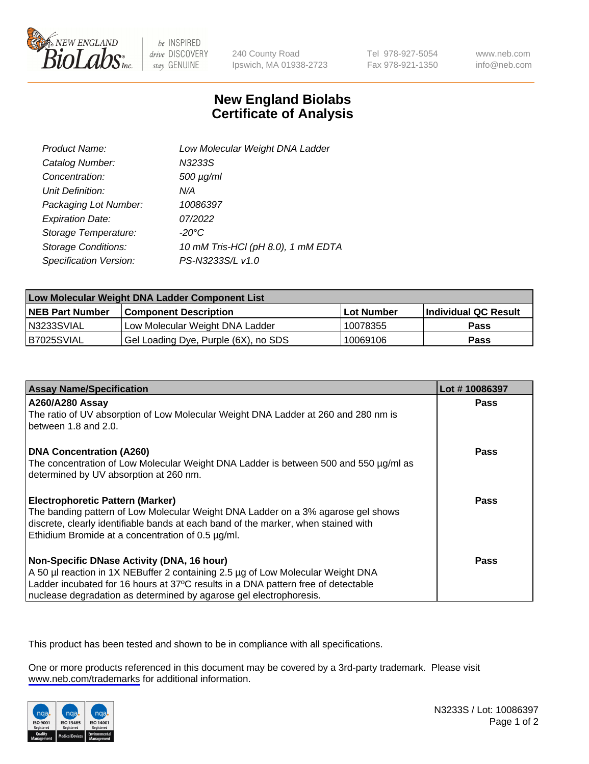

be INSPIRED drive DISCOVERY stay GENUINE

240 County Road Ipswich, MA 01938-2723 Tel 978-927-5054 Fax 978-921-1350

www.neb.com info@neb.com

## **New England Biolabs Certificate of Analysis**

| Product Name:              | Low Molecular Weight DNA Ladder    |
|----------------------------|------------------------------------|
| Catalog Number:            | N3233S                             |
| Concentration:             | $500 \mu g/ml$                     |
| Unit Definition:           | N/A                                |
| Packaging Lot Number:      | 10086397                           |
| <b>Expiration Date:</b>    | 07/2022                            |
| Storage Temperature:       | $-20^{\circ}$ C                    |
| <b>Storage Conditions:</b> | 10 mM Tris-HCl (pH 8.0), 1 mM EDTA |
| Specification Version:     | PS-N3233S/L v1.0                   |

| Low Molecular Weight DNA Ladder Component List |                                      |            |                      |  |
|------------------------------------------------|--------------------------------------|------------|----------------------|--|
| <b>NEB Part Number</b>                         | <b>Component Description</b>         | Lot Number | Individual QC Result |  |
| N3233SVIAL                                     | Low Molecular Weight DNA Ladder      | 10078355   | <b>Pass</b>          |  |
| B7025SVIAL                                     | Gel Loading Dye, Purple (6X), no SDS | 10069106   | <b>Pass</b>          |  |

| <b>Assay Name/Specification</b>                                                                                                                                        | Lot #10086397 |
|------------------------------------------------------------------------------------------------------------------------------------------------------------------------|---------------|
| A260/A280 Assay<br>The ratio of UV absorption of Low Molecular Weight DNA Ladder at 260 and 280 nm is                                                                  | <b>Pass</b>   |
| between 1.8 and 2.0.                                                                                                                                                   |               |
| <b>DNA Concentration (A260)</b>                                                                                                                                        | Pass          |
| The concentration of Low Molecular Weight DNA Ladder is between 500 and 550 µg/ml as<br>determined by UV absorption at 260 nm.                                         |               |
| <b>Electrophoretic Pattern (Marker)</b>                                                                                                                                | Pass          |
| The banding pattern of Low Molecular Weight DNA Ladder on a 3% agarose gel shows<br>discrete, clearly identifiable bands at each band of the marker, when stained with |               |
| Ethidium Bromide at a concentration of 0.5 µg/ml.                                                                                                                      |               |
| Non-Specific DNase Activity (DNA, 16 hour)                                                                                                                             | Pass          |
| A 50 µl reaction in 1X NEBuffer 2 containing 2.5 µg of Low Molecular Weight DNA                                                                                        |               |
| Ladder incubated for 16 hours at 37°C results in a DNA pattern free of detectable                                                                                      |               |
| nuclease degradation as determined by agarose gel electrophoresis.                                                                                                     |               |

This product has been tested and shown to be in compliance with all specifications.

One or more products referenced in this document may be covered by a 3rd-party trademark. Please visit <www.neb.com/trademarks>for additional information.